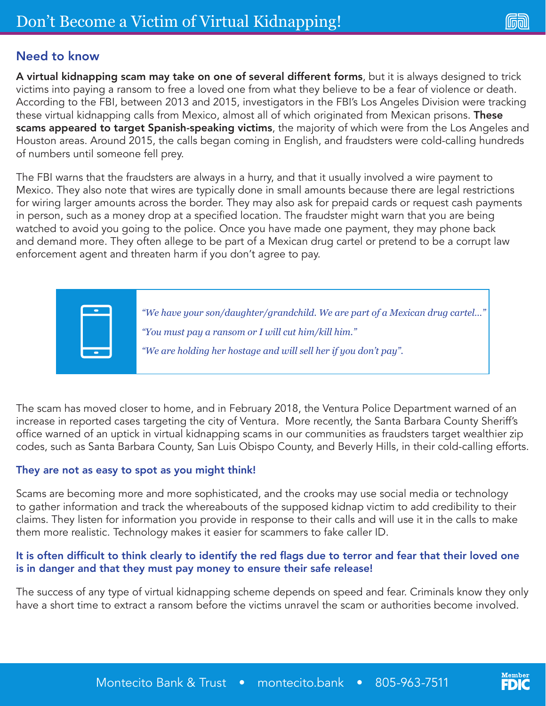## Need to know

A virtual kidnapping scam may take on one of several different forms, but it is always designed to trick victims into paying a ransom to free a loved one from what they believe to be a fear of violence or death. According to the FBI, between 2013 and 2015, investigators in the FBI's Los Angeles Division were tracking these virtual kidnapping calls from Mexico, almost all of which originated from Mexican prisons. These scams appeared to target Spanish-speaking victims, the majority of which were from the Los Angeles and Houston areas. Around 2015, the calls began coming in English, and fraudsters were cold-calling hundreds of numbers until someone fell prey.

The FBI warns that the fraudsters are always in a hurry, and that it usually involved a wire payment to Mexico. They also note that wires are typically done in small amounts because there are legal restrictions for wiring larger amounts across the border. They may also ask for prepaid cards or request cash payments in person, such as a money drop at a specified location. The fraudster might warn that you are being watched to avoid you going to the police. Once you have made one payment, they may phone back and demand more. They often allege to be part of a Mexican drug cartel or pretend to be a corrupt law enforcement agent and threaten harm if you don't agree to pay.

> *"We have your son/daughter/grandchild. We are part of a Mexican drug cartel…" "You must pay a ransom or I will cut him/kill him." "We are holding her hostage and will sell her if you don't pay".*

The scam has moved closer to home, and in February 2018, the Ventura Police Department warned of an increase in reported cases targeting the city of Ventura. More recently, the Santa Barbara County Sheriff's office warned of an uptick in virtual kidnapping scams in our communities as fraudsters target wealthier zip codes, such as Santa Barbara County, San Luis Obispo County, and Beverly Hills, in their cold-calling efforts.

#### They are not as easy to spot as you might think!

Scams are becoming more and more sophisticated, and the crooks may use social media or technology to gather information and track the whereabouts of the supposed kidnap victim to add credibility to their claims. They listen for information you provide in response to their calls and will use it in the calls to make them more realistic. Technology makes it easier for scammers to fake caller ID.

#### It is often difficult to think clearly to identify the red flags due to terror and fear that their loved one is in danger and that they must pay money to ensure their safe release!

The success of any type of virtual kidnapping scheme depends on speed and fear. Criminals know they only have a short time to extract a ransom before the victims unravel the scam or authorities become involved.

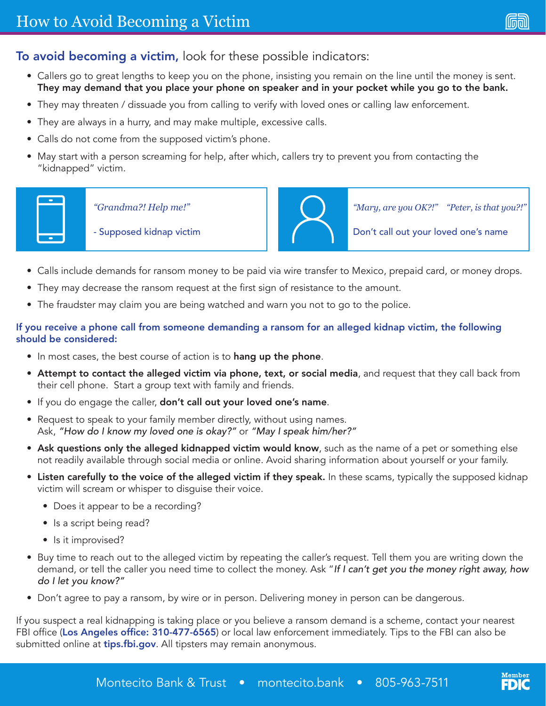# To avoid becoming a victim, look for these possible indicators:

- Callers go to great lengths to keep you on the phone, insisting you remain on the line until the money is sent. They may demand that you place your phone on speaker and in your pocket while you go to the bank.
- They may threaten / dissuade you from calling to verify with loved ones or calling law enforcement.
- They are always in a hurry, and may make multiple, excessive calls.
- Calls do not come from the supposed victim's phone.
- May start with a person screaming for help, after which, callers try to prevent you from contacting the "kidnapped" victim.



*"Grandma?! Help me!"*

- Supposed kidnap victim



*"Mary, are you OK?!" "Peter, is that you?!"*

Don't call out your loved one's name

- Calls include demands for ransom money to be paid via wire transfer to Mexico, prepaid card, or money drops.
- They may decrease the ransom request at the first sign of resistance to the amount.
- The fraudster may claim you are being watched and warn you not to go to the police.

### If you receive a phone call from someone demanding a ransom for an alleged kidnap victim, the following should be considered:

- In most cases, the best course of action is to hang up the phone.
- Attempt to contact the alleged victim via phone, text, or social media, and request that they call back from their cell phone. Start a group text with family and friends.
- If you do engage the caller, don't call out your loved one's name.
- Request to speak to your family member directly, without using names. Ask, *"How do I know my loved one is okay?"* or *"May I speak him/her?"*
- Ask questions only the alleged kidnapped victim would know, such as the name of a pet or something else not readily available through social media or online. Avoid sharing information about yourself or your family.
- Listen carefully to the voice of the alleged victim if they speak. In these scams, typically the supposed kidnap victim will scream or whisper to disguise their voice.
	- Does it appear to be a recording?
	- Is a script being read?
	- Is it improvised?
- Buy time to reach out to the alleged victim by repeating the caller's request. Tell them you are writing down the demand, or tell the caller you need time to collect the money. Ask "*If I can't get you the money right away, how do I let you know?"*
- Don't agree to pay a ransom, by wire or in person. Delivering money in person can be dangerous.

If you suspect a real kidnapping is taking place or you believe a ransom demand is a scheme, contact your nearest FBI office (Los Angeles office: 310-477-6565) or local law enforcement immediately. Tips to the FBI can also be submitted online at tips.fbi.gov. All tipsters may remain anonymous.

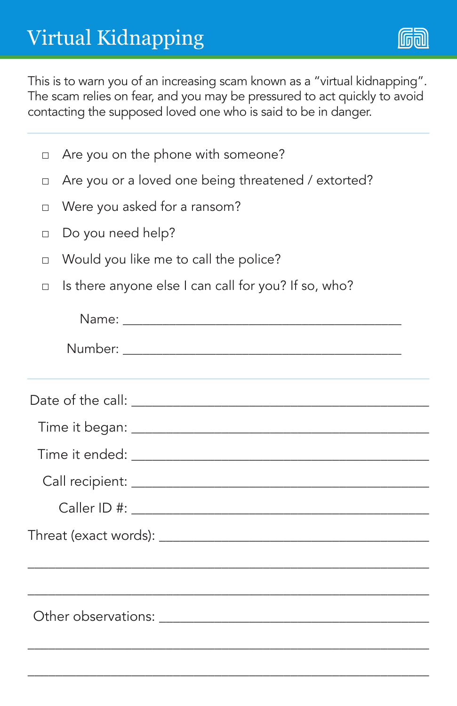

This is to warn you of an increasing scam known as a "virtual kidnapping". The scam relies on fear, and you may be pressured to act quickly to avoid contacting the supposed loved one who is said to be in danger.

|  |  |  | $\Box$ Are you on the phone with someone? |
|--|--|--|-------------------------------------------|
|  |  |  |                                           |

- □ Are you or a loved one being threatened / extorted?
- □ Were you asked for a ransom?
- □ Do you need help?
- □ Would you like me to call the police?
- □ Is there anyone else I can call for you? If so, who?